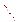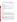# **Technical Factsheet on: VINYL CHLORIDE**

**List of Drinking Water Contaminants** 

This fact sheet is part of a [collection of fact sheets for volatile organic chemicals with drinking water](http://www.epa.gov/safewater/dwh/t-voc.html)  [regulations.](http://www.epa.gov/safewater/dwh/t-voc.html) 

# **Health Effects Summary**

 Acute: Occupational inhalation exposure to high levels (e.g., 40 - 900 ppm ) may cause neurological effects such dizziness, headaches, or narcosis in workers.

EPA's short-term health advisory a 10-kg (22 lb.) child consuming 1 liter of water per day is 3 mg/L for one-day to ten-day exposures.

Chronic: Oral ingestion at high levels (0.1 mg/L) may cause liver effects from life-time exposure.

 Cancer: Based on epidemiological and animal studies, vinyl chloride is carcinogenic in humans when inhaled, and it is considered to be a human carcinogen from oral exposure.

# **Drinking Water Standards**

MCLG: zero mg/L

MCL: 0.002 mg/L

#### **Usage Patterns**

Production of vinyl chloride in 1993 was nearly 14 billion lbs.

Vinyl chloride is used in the manufacture of numerous products in building and construction, automotive industry, electrical wire insulation and cables, piping, industrial and household equipment, medical supplies, and is depended upon heavily by the rubber, paper, and glass industries.

 Limited quantities of vinyl chloride were used in the United States as an aerosol propellant, a refrigerant, various uses in 1989 were: polyvinyl chloride products, 91%; exports, 7%; other, including chlorinated solvents, 2%. an extraction solvent and as an ingredient of drug and cosmetic products. Proportions consumed for

# **Release Patterns**

 emissions and wastewater at these production and manufacturing facilities. Vinyl chloride is also a product of anaerobic degradation of chlorination solvents such as would be expected to occur in Although vinyl chloride is produced in large quantities, almost all of it is used captively for the production of polyvinyl chloride (PVC) and other polymers. Therefore, its major release to the environment will be as groundwater and landfills.

 in polyvinyl chloride food wrappings and containers. Major human exposure will be from inhalation of occupational atmospheres and from ingestion of contaminated food and drinking water which has come Small quantities of vinyl chloride can be released to food by migration of vinyl chloride monomer present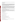into contact with polyvinyl chloride packaging material or pipe which has not been treated adequately to remove residual monomer.

#### **Environmental Fate**

 If vinyl chloride is released to soil, it will be subject to rapid volatilization with reported half-lives of 0.2 and 0.5 days for evaporation from soil at 1 and 10 cm incorporation, respectively, based on a high vapor pressure of 2,600 mm Hg at 25 degrees C. Based on a reported water solubility of 2,700 mg/L, a Koc of 56 was estimated. According to estimated Koc values, vinyl chloride will be expected to be highly mobile in soil and it may leach to the groundwater. It may be subject to biodegradation under anaerobic conditions such as exists in flooded soil and groundwater.

 current of 3 m/sec and with a wind velocity of 3 m/sec. In waters containing photosensitizers such as aerobic soils and natural waters. It will not be expected to hydrolyze in soils or natural waters under If released to water, vinyl chloride will rapidly evaporate. Using a reported Henry's Law constant of 0.0560 atm/cu m-mole, a half-life of 0.805 hr was calculated for evaporation from a model river 1 m deep with a humic acid, photodegradation will occur fairly rapidly. Limited existing data indicate that vinyl chloride is resistant to biodegradation in aerobic systems and therefore, it may not be subject to biodegradation in normal environmental conditions.

 If vinyl chloride is released to the atmosphere, it can be expected to exist mainly in the vapor-phase in the ambient atmosphere and to degrade rapidly in air by gas-phase reaction with photochemically produced hydroxyl radicals with an estimated half-life of 1.5 days.

Some data indicate that vinyl chloride is too readily volatilized to undergo bioaccumulation, except perhaps in the most extreme exposure conditions. Based on a reported water solubility of 2,700 mg/l, a BCF of 7 was estimated, indicating that vinyl chloride will not be expected to significantly bioconcentrate in aquatic organisms.

# **Chemical/Physical Properties**

CAS Number: 75-01-4

Color/ Form/Odor: Colorless gas, sweet odor

M.P.: -13.37 C B.P.: -153.2 C

Vapor Pressure: 2600 mm Hg at 25 C

Density/Spec. Grav.: 0.91 at 20 C

Octanol/Water Partition (Kow): Log Kow = 0.6 (calculated)

Solubility: 2.7 g/L of water; Slightly soluble in water

Soil sorption coefficient: Koc estimated at 56; highly mobile in soil

Odor/Taste Thresholds: N/A

Bioconcentration Factor: Estimated BCF = 7; not expected to bioconcentrate in aquatic organisms.

Henry's Law Coefficient: 0.0560 atm-cu m/mole;